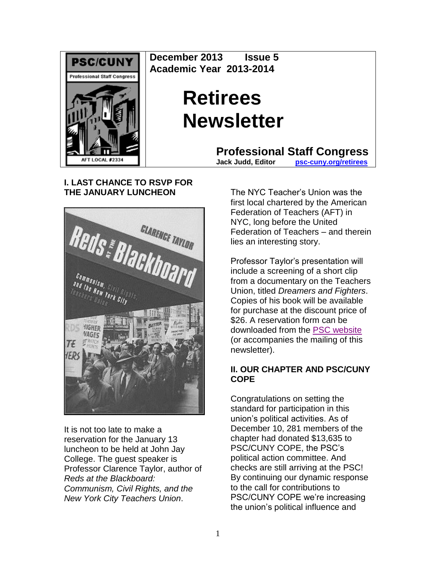

**December 2013 Issue 5 Academic Year 2013-2014**

# **Retirees Newsletter**

**Professional Staff Congress**<br>Jack Judd. Editor **psc-cuny.org/retirees** 

**Jack Judd, Editor [psc-cuny.org/retirees](http://www.psc-cuny.org/retirees)**

# **I. LAST CHANCE TO RSVP FOR THE JANUARY LUNCHEON**



It is not too late to make a reservation for the January 13 luncheon to be held at John Jay College. The guest speaker is Professor Clarence Taylor, author of *Reds at the Blackboard: Communism, Civil Rights, and the New York City Teachers Union*.

The NYC Teacher's Union was the first local chartered by the American Federation of Teachers (AFT) in NYC, long before the United Federation of Teachers – and therein lies an interesting story.

Professor Taylor's presentation will include a screening of a short clip from a documentary on the Teachers Union, titled *Dreamers and Fighters*. Copies of his book will be available for purchase at the discount price of \$26. A reservation form can be downloaded from the [PSC website](http://www.psc-cuny.org/sites/default/files/RetireesInvite011314.pdf) (or accompanies the mailing of this newsletter).

## **II. OUR CHAPTER AND PSC/CUNY COPE**

Congratulations on setting the standard for participation in this union's political activities. As of December 10, 281 members of the chapter had donated \$13,635 to PSC/CUNY COPE, the PSC's political action committee. And checks are still arriving at the PSC! By continuing our dynamic response to the call for contributions to PSC/CUNY COPE we're increasing the union's political influence and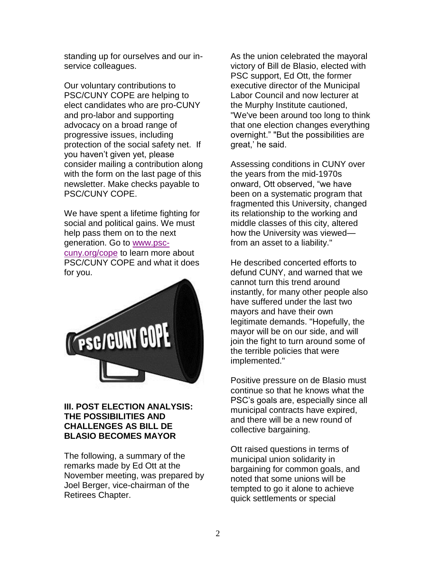standing up for ourselves and our inservice colleagues.

Our voluntary contributions to PSC/CUNY COPE are helping to elect candidates who are pro-CUNY and pro-labor and supporting advocacy on a broad range of progressive issues, including protection of the social safety net. If you haven't given yet, please consider mailing a contribution along with the form on the last page of this newsletter. Make checks payable to PSC/CUNY COPE.

We have spent a lifetime fighting for social and political gains. We must help pass them on to the next generation. Go to [www.psc](http://www.psc-cuny.org/cope)[cuny.org/cope](http://www.psc-cuny.org/cope) to learn more about PSC/CUNY COPE and what it does for you.



### **III. POST ELECTION ANALYSIS: THE POSSIBILITIES AND CHALLENGES AS BILL DE BLASIO BECOMES MAYOR**

The following, a summary of the remarks made by Ed Ott at the November meeting, was prepared by Joel Berger, vice-chairman of the Retirees Chapter.

As the union celebrated the mayoral victory of Bill de Blasio, elected with PSC support, Ed Ott, the former executive director of the Municipal Labor Council and now lecturer at the Murphy Institute cautioned, "We've been around too long to think that one election changes everything overnight." "But the possibilities are great,' he said.

Assessing conditions in CUNY over the years from the mid-1970s onward, Ott observed, "we have been on a systematic program that fragmented this University, changed its relationship to the working and middle classes of this city, altered how the University was viewed from an asset to a liability."

He described concerted efforts to defund CUNY, and warned that we cannot turn this trend around instantly, for many other people also have suffered under the last two mayors and have their own legitimate demands. "Hopefully, the mayor will be on our side, and will join the fight to turn around some of the terrible policies that were implemented."

Positive pressure on de Blasio must continue so that he knows what the PSC's goals are, especially since all municipal contracts have expired, and there will be a new round of collective bargaining.

Ott raised questions in terms of municipal union solidarity in bargaining for common goals, and noted that some unions will be tempted to go it alone to achieve quick settlements or special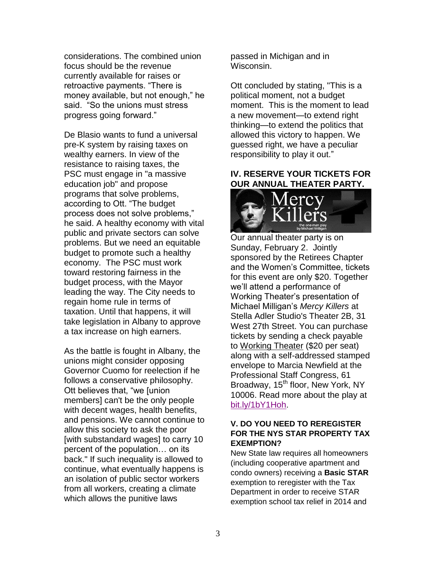considerations. The combined union focus should be the revenue currently available for raises or retroactive payments. "There is money available, but not enough," he said. "So the unions must stress progress going forward."

De Blasio wants to fund a universal pre-K system by raising taxes on wealthy earners. In view of the resistance to raising taxes, the PSC must engage in "a massive education job" and propose programs that solve problems, according to Ott. "The budget process does not solve problems," he said. A healthy economy with vital public and private sectors can solve problems. But we need an equitable budget to promote such a healthy economy. The PSC must work toward restoring fairness in the budget process, with the Mayor leading the way. The City needs to regain home rule in terms of taxation. Until that happens, it will take legislation in Albany to approve a tax increase on high earners.

As the battle is fought in Albany, the unions might consider opposing Governor Cuomo for reelection if he follows a conservative philosophy. Ott believes that, "we [union members] can't be the only people with decent wages, health benefits, and pensions. We cannot continue to allow this society to ask the poor [with substandard wages] to carry 10 percent of the population… on its back." If such inequality is allowed to continue, what eventually happens is an isolation of public sector workers from all workers, creating a climate which allows the punitive laws

passed in Michigan and in Wisconsin.

Ott concluded by stating, "This is a political moment, not a budget moment. This is the moment to lead a new movement—to extend right thinking—to extend the politics that allowed this victory to happen. We guessed right, we have a peculiar responsibility to play it out."

## **IV. RESERVE YOUR TICKETS FOR OUR ANNUAL THEATER PARTY.**



Our annual theater party is on Sunday, February 2. Jointly sponsored by the Retirees Chapter and the Women's Committee, tickets for this event are only \$20. Together we'll attend a performance of Working Theater's presentation of Michael Milligan's *Mercy Killers* at Stella Adler Studio's Theater 2B, 31 West 27th Street. You can purchase tickets by sending a check payable to Working Theater (\$20 per seat) along with a self-addressed stamped envelope to Marcia Newfield at the Professional Staff Congress, 61 Broadway, 15<sup>th</sup> floor, New York, NY 10006. Read more about the play at [bit.ly/1bY1Hoh.](http://bit.ly/1bY1Hoh)

#### **V. DO YOU NEED TO REREGISTER FOR THE NYS STAR PROPERTY TAX EXEMPTION?**

New State law requires all homeowners (including cooperative apartment and condo owners) receiving a **Basic STAR** exemption to reregister with the Tax Department in order to receive STAR exemption school tax relief in 2014 and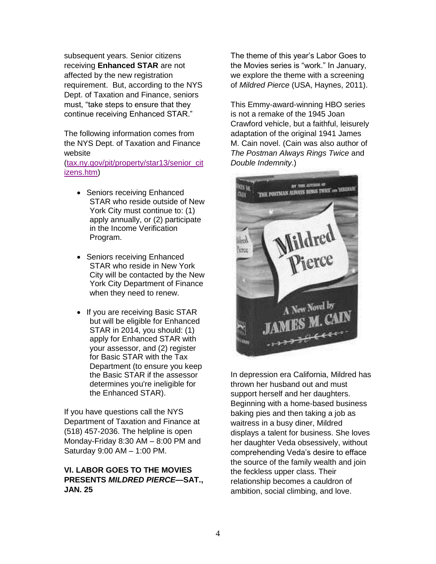subsequent years. Senior citizens receiving **Enhanced STAR** are not affected by the new registration requirement. But, according to the NYS Dept. of Taxation and Finance, seniors must, "take steps to ensure that they continue receiving Enhanced STAR."

The following information comes from the NYS Dept. of Taxation and Finance website

[\(tax.ny.gov/pit/property/star13/senior\\_cit](http://www.tax.ny.gov/pit/property/star13/senior_citizens.htm) [izens.htm\)](http://www.tax.ny.gov/pit/property/star13/senior_citizens.htm)

- Seniors receiving Enhanced STAR who reside outside of New York City must continue to: (1) apply annually, or (2) participate in the Income Verification Program.
- Seniors receiving Enhanced STAR who reside in New York City will be contacted by the New York City Department of Finance when they need to renew.
- If you are receiving Basic STAR but will be eligible for Enhanced STAR in 2014, you should: (1) apply for Enhanced STAR with your assessor, and (2) register for Basic STAR with the Tax Department (to ensure you keep the Basic STAR if the assessor determines you're ineligible for the Enhanced STAR).

If you have questions call the NYS Department of Taxation and Finance at (518) 457-2036. The helpline is open Monday-Friday 8:30 AM – 8:00 PM and Saturday 9:00 AM – 1:00 PM.

#### **VI. LABOR GOES TO THE MOVIES PRESENTS** *MILDRED PIERCE***—SAT., JAN. 25**

The theme of this year's Labor Goes to the Movies series is "work." In January, we explore the theme with a screening of *Mildred Pierce* (USA, Haynes, 2011).

This Emmy-award-winning HBO series is not a remake of the 1945 Joan Crawford vehicle, but a faithful, leisurely adaptation of the original 1941 James M. Cain novel. (Cain was also author of *The Postman Always Rings Twice* and *Double Indemnity*.)



In depression era California, Mildred has thrown her husband out and must support herself and her daughters. Beginning with a home-based business baking pies and then taking a job as waitress in a busy diner, Mildred displays a talent for business. She loves her daughter Veda obsessively, without comprehending Veda's desire to efface the source of the family wealth and join the feckless upper class. Their relationship becomes a cauldron of ambition, social climbing, and love.